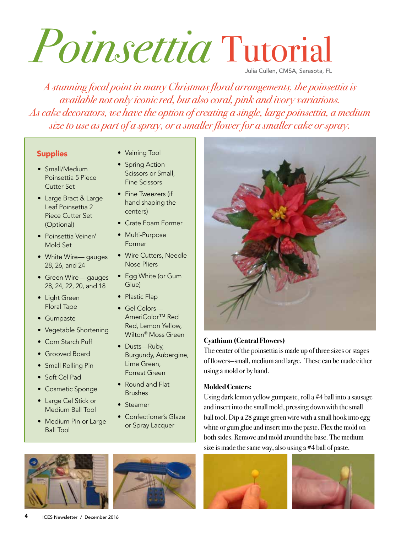# *Poinsettia* Tutorial Julia Cullen, CMSA, Sarasota, FL

*A stunning focal point in many Christmas floral arrangements, the poinsettia is available not only iconic red, but also coral, pink and ivory variations. As cake decorators, we have the option of creating a single, large poinsettia, a medium size to use as part of a spray, or a smaller flower for a smaller cake or spray.* 

#### **Supplies**

- Small/Medium Poinsettia 5 Piece Cutter Set
- Large Bract & Large Leaf Poinsettia 2 Piece Cutter Set (Optional)
- Poinsettia Veiner/ Mold Set
- White Wire— gauges 28, 26, and 24
- Green Wire— gauges 28, 24, 22, 20, and 18
- Light Green Floral Tape
- Gumpaste
- Vegetable Shortening
- Corn Starch Puff
- Grooved Board
- Small Rolling Pin
- Soft Cel Pad
- Cosmetic Sponge
- Large Cel Stick or Medium Ball Tool
- Medium Pin or Large Ball Tool
- Veining Tool
- Spring Action Scissors or Small, Fine Scissors
- Fine Tweezers (if hand shaping the centers)
- Crate Foam Former
- Multi-Purpose Former
- Wire Cutters, Needle Nose Pliers
- Egg White (or Gum Glue)
- Plastic Flap
- Gel Colors— AmeriColor™ Red Red, Lemon Yellow, Wilton® Moss Green
- Dusts-Ruby, Burgundy, Aubergine, Lime Green, Forrest Green
- Round and Flat Brushes
- Steamer
- Confectioner's Glaze or Spray Lacquer



#### **Cyathium (Central Flowers)**

The center of the poinsettia is made up of three sizes or stages of flowers—small, medium and large. These can be made either using a mold or by hand.

#### **Molded Centers:**

Using dark lemon yellow gumpaste, roll a #4 ball into a sausage and insert into the small mold, pressing down with the small ball tool. Dip a 28 gauge green wire with a small hook into egg white or gum glue and insert into the paste. Flex the mold on both sides. Remove and mold around the base. The medium size is made the same way, also using a #4 ball of paste.







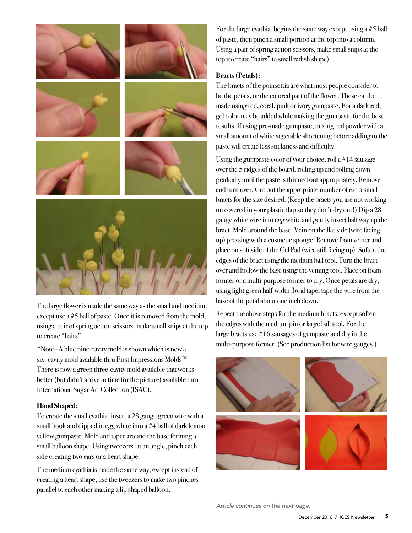

The large flower is made the same way as the small and medium, except use a #5 ball of paste. Once it is removed from the mold, using a pair of spring action scissors, make small snips at the top to create "hairs".

\*Note—A blue nine-cavity mold is shown which is now a six -cavity mold available thru First Impressions Molds™. There is now a green three-cavity mold available that works better (but didn't arrive in time for the picture) available thru International Sugar Art Collection (ISAC).

#### **Hand Shaped:**

To create the small cyathia, insert a 28 gauge green wire with a small hook and dipped in egg white into a #4 ball of dark lemon yellow gumpaste. Mold and taper around the base forming a small balloon shape. Using tweezers, at an angle, pinch each side creating two ears or a heart shape.

The medium cyathia is made the same way, except instead of creating a heart shape, use the tweezers to make two pinches parallel to each other making a lip shaped balloon.

For the large cyathia, begins the same way except using a #5 ball of paste, then pinch a small portion at the top into a column. Using a pair of spring action scissors, make small snips at the top to create "hairs" (a small radish shape).

#### **Bracts (Petals):**

The bracts of the poinsettia are what most people consider to be the petals, or the colored part of the flower. These can be made using red, coral, pink or ivory gumpaste. For a dark red, gel color may be added while making the gumpaste for the best results. If using pre-made gumpaste, mixing red powder with a small amount of white vegetable shortening before adding to the paste will create less stickiness and difficulty.

Using the gumpaste color of your choice, roll a #14 sausage over the 5 ridges of the board, rolling up and rolling down gradually until the paste is thinned out appropriately. Remove and turn over. Cut out the appropriate number of extra small bracts for the size desired. (Keep the bracts you are not working on covered in your plastic flap so they don't dry out!) Dip a 28 gauge white wire into egg white and gently insert half way up the bract. Mold around the base. Vein on the flat side (wire facing up) pressing with a cosmetic sponge. Remove from veiner and place on soft side of the Cel Pad (wire still facing up). Soften the edges of the bract using the medium ball tool. Turn the bract over and hollow the base using the veining tool. Place on foam former or a multi-purpose former to dry. Once petals are dry, using light green half-width floral tape, tape the wire from the base of the petal about one inch down.

Repeat the above steps for the medium bracts, except soften the edges with the medium pin or large ball tool. For the large bracts use #16 sausages of gumpaste and dry in the multi-purpose former. (See production list for wire gauges.)



*Article continues on the next page.*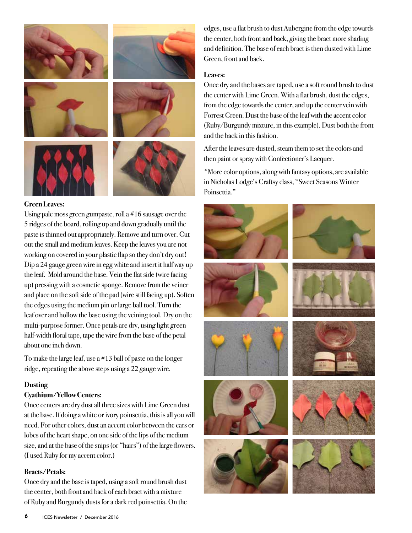

#### **Green Leaves:**

Using pale moss green gumpaste, roll a #16 sausage over the 5 ridges of the board, rolling up and down gradually until the paste is thinned out appropriately. Remove and turn over. Cut out the small and medium leaves. Keep the leaves you are not working on covered in your plastic flap so they don't dry out! Dip a 24 gauge green wire in egg white and insert it half way up the leaf. Mold around the base. Vein the flat side (wire facing up) pressing with a cosmetic sponge. Remove from the veiner and place on the soft side of the pad (wire still facing up). Soften the edges using the medium pin or large ball tool. Turn the leaf over and hollow the base using the veining tool. Dry on the multi-purpose former. Once petals are dry, using light green half-width floral tape, tape the wire from the base of the petal about one inch down.

To make the large leaf, use a #13 ball of paste on the longer ridge, repeating the above steps using a 22 gauge wire.

#### **Dusting**

#### **Cyathium/Yellow Centers:**

Once centers are dry dust all three sizes with Lime Green dust at the base. If doing a white or ivory poinsettia, this is all you will need. For other colors, dust an accent color between the ears or lobes of the heart shape, on one side of the lips of the medium size, and at the base of the snips (or "hairs") of the large flowers. (I used Ruby for my accent color.)

#### **Bracts/Petals:**

Once dry and the base is taped, using a soft round brush dust the center, both front and back of each bract with a mixture of Ruby and Burgundy dusts for a dark red poinsettia. On the

edges, use a flat brush to dust Aubergine from the edge towards the center, both front and back, giving the bract more shading and definition. The base of each bract is then dusted with Lime Green, front and back.

#### **Leaves:**

Once dry and the bases are taped, use a soft round brush to dust the center with Lime Green. With a flat brush, dust the edges, from the edge towards the center, and up the center vein with Forrest Green. Dust the base of the leaf with the accent color (Ruby/Burgundy mixture, in this example). Dust both the front and the back in this fashion.

After the leaves are dusted, steam them to set the colors and then paint or spray with Confectioner's Lacquer.

\*More color options, along with fantasy options, are available in Nicholas Lodge's Craftsy class, "Sweet Seasons Winter Poinsettia."

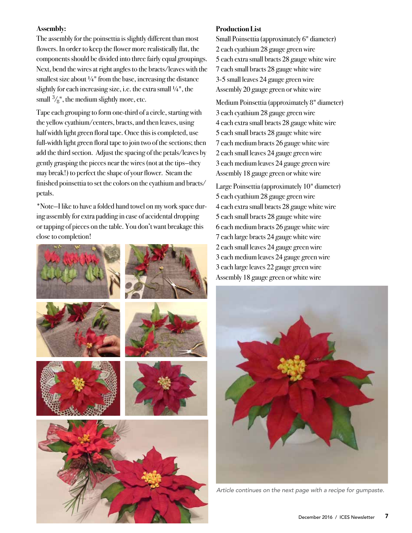#### **Assembly:**

The assembly for the poinsettia is slightly different than most flowers. In order to keep the flower more realistically flat, the components should be divided into three fairly equal groupings. Next, bend the wires at right angles to the bracts/leaves with the smallest size about  $\frac{1}{4}$ " from the base, increasing the distance slightly for each increasing size, i.e. the extra small ¼", the small  $\frac{3}{8}$ ", the medium slightly more, etc.

Tape each grouping to form one-third of a circle, starting with the yellow cyathium/centers, bracts, and then leaves, using half width light green floral tape. Once this is completed, use full-width light green floral tape to join two of the sections; then add the third section. Adjust the spacing of the petals/leaves by gently grasping the pieces near the wires (not at the tips—they may break!) to perfect the shape of your flower. Steam the finished poinsettia to set the colors on the cyathium and bracts/ petals.

\*Note—I like to have a folded hand towel on my work space during assembly for extra padding in case of accidental dropping or tapping of pieces on the table. You don't want breakage this close to completion!



#### **Production List**

Small Poinsettia (approximately 6" diameter) 2 each cyathium 28 gauge green wire 5 each extra small bracts 28 gauge white wire 7 each small bracts 28 gauge white wire 3-5 small leaves 24 gauge green wire Assembly 20 gauge green or white wire

Medium Poinsettia (approximately 8" diameter) each cyathium 28 gauge green wire each extra small bracts 28 gauge white wire each small bracts 28 gauge white wire each medium bracts 26 gauge white wire each small leaves 24 gauge green wire each medium leaves 24 gauge green wire Assembly 18 gauge green or white wire

Large Poinsettia (approximately 10" diameter) each cyathium 28 gauge green wire each extra small bracts 28 gauge white wire each small bracts 28 gauge white wire each medium bracts 26 gauge white wire each large bracts 24 gauge white wire each small leaves 24 gauge green wire each medium leaves 24 gauge green wire each large leaves 22 gauge green wire Assembly 18 gauge green or white wire



*Article continues on the next page with a recipe for gumpaste.*